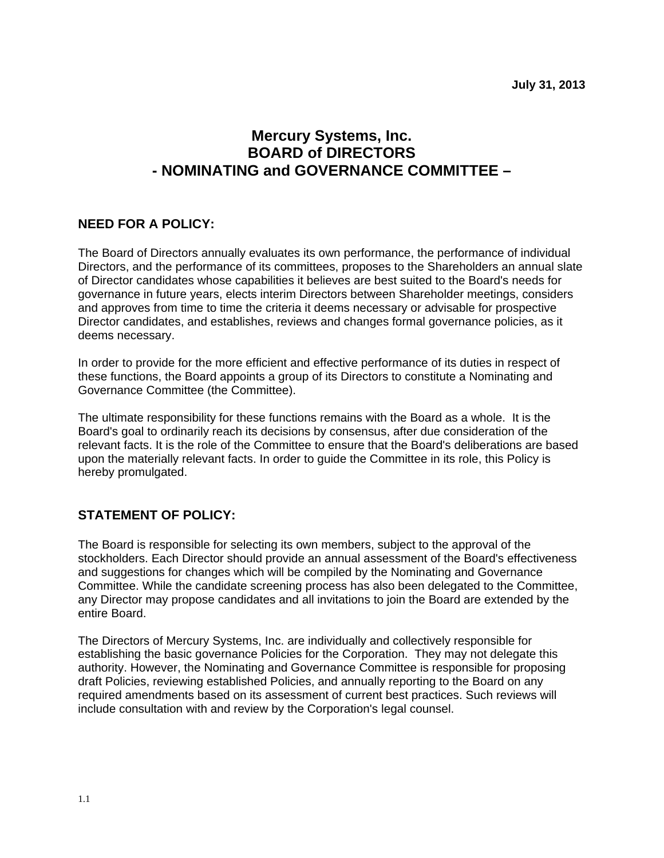# **Mercury Systems, Inc. BOARD of DIRECTORS - NOMINATING and GOVERNANCE COMMITTEE –**

## **NEED FOR A POLICY:**

The Board of Directors annually evaluates its own performance, the performance of individual Directors, and the performance of its committees, proposes to the Shareholders an annual slate of Director candidates whose capabilities it believes are best suited to the Board's needs for governance in future years, elects interim Directors between Shareholder meetings, considers and approves from time to time the criteria it deems necessary or advisable for prospective Director candidates, and establishes, reviews and changes formal governance policies, as it deems necessary.

In order to provide for the more efficient and effective performance of its duties in respect of these functions, the Board appoints a group of its Directors to constitute a Nominating and Governance Committee (the Committee).

The ultimate responsibility for these functions remains with the Board as a whole. It is the Board's goal to ordinarily reach its decisions by consensus, after due consideration of the relevant facts. It is the role of the Committee to ensure that the Board's deliberations are based upon the materially relevant facts. In order to guide the Committee in its role, this Policy is hereby promulgated.

### **STATEMENT OF POLICY:**

The Board is responsible for selecting its own members, subject to the approval of the stockholders. Each Director should provide an annual assessment of the Board's effectiveness and suggestions for changes which will be compiled by the Nominating and Governance Committee. While the candidate screening process has also been delegated to the Committee, any Director may propose candidates and all invitations to join the Board are extended by the entire Board.

The Directors of Mercury Systems, Inc. are individually and collectively responsible for establishing the basic governance Policies for the Corporation. They may not delegate this authority. However, the Nominating and Governance Committee is responsible for proposing draft Policies, reviewing established Policies, and annually reporting to the Board on any required amendments based on its assessment of current best practices. Such reviews will include consultation with and review by the Corporation's legal counsel.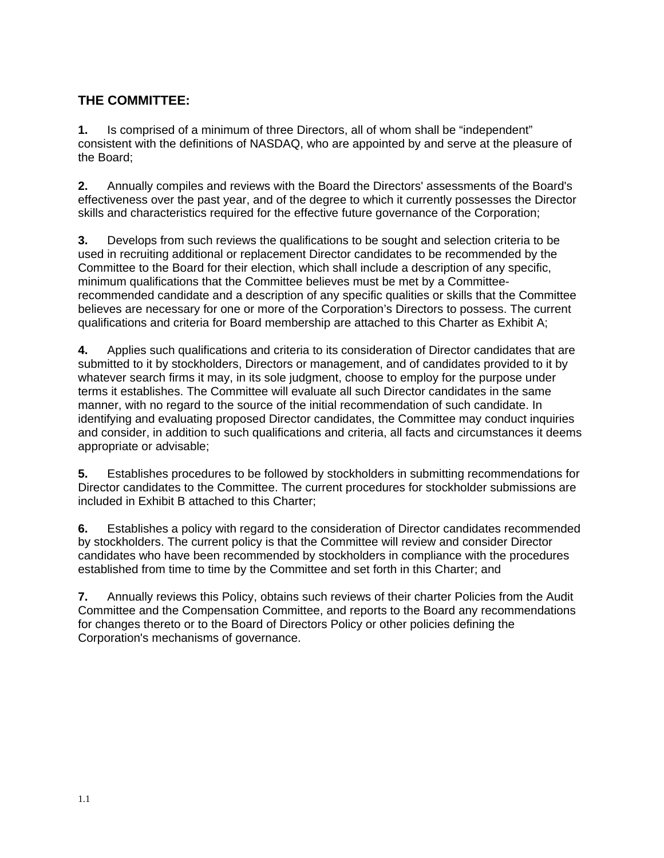# **THE COMMITTEE:**

**1.** Is comprised of a minimum of three Directors, all of whom shall be "independent" consistent with the definitions of NASDAQ, who are appointed by and serve at the pleasure of the Board;

**2.** Annually compiles and reviews with the Board the Directors' assessments of the Board's effectiveness over the past year, and of the degree to which it currently possesses the Director skills and characteristics required for the effective future governance of the Corporation;

**3.** Develops from such reviews the qualifications to be sought and selection criteria to be used in recruiting additional or replacement Director candidates to be recommended by the Committee to the Board for their election, which shall include a description of any specific, minimum qualifications that the Committee believes must be met by a Committeerecommended candidate and a description of any specific qualities or skills that the Committee believes are necessary for one or more of the Corporation's Directors to possess. The current qualifications and criteria for Board membership are attached to this Charter as Exhibit A;

**4.** Applies such qualifications and criteria to its consideration of Director candidates that are submitted to it by stockholders, Directors or management, and of candidates provided to it by whatever search firms it may, in its sole judgment, choose to employ for the purpose under terms it establishes. The Committee will evaluate all such Director candidates in the same manner, with no regard to the source of the initial recommendation of such candidate. In identifying and evaluating proposed Director candidates, the Committee may conduct inquiries and consider, in addition to such qualifications and criteria, all facts and circumstances it deems appropriate or advisable;

**5.** Establishes procedures to be followed by stockholders in submitting recommendations for Director candidates to the Committee. The current procedures for stockholder submissions are included in Exhibit B attached to this Charter;

**6.** Establishes a policy with regard to the consideration of Director candidates recommended by stockholders. The current policy is that the Committee will review and consider Director candidates who have been recommended by stockholders in compliance with the procedures established from time to time by the Committee and set forth in this Charter; and

**7.** Annually reviews this Policy, obtains such reviews of their charter Policies from the Audit Committee and the Compensation Committee, and reports to the Board any recommendations for changes thereto or to the Board of Directors Policy or other policies defining the Corporation's mechanisms of governance.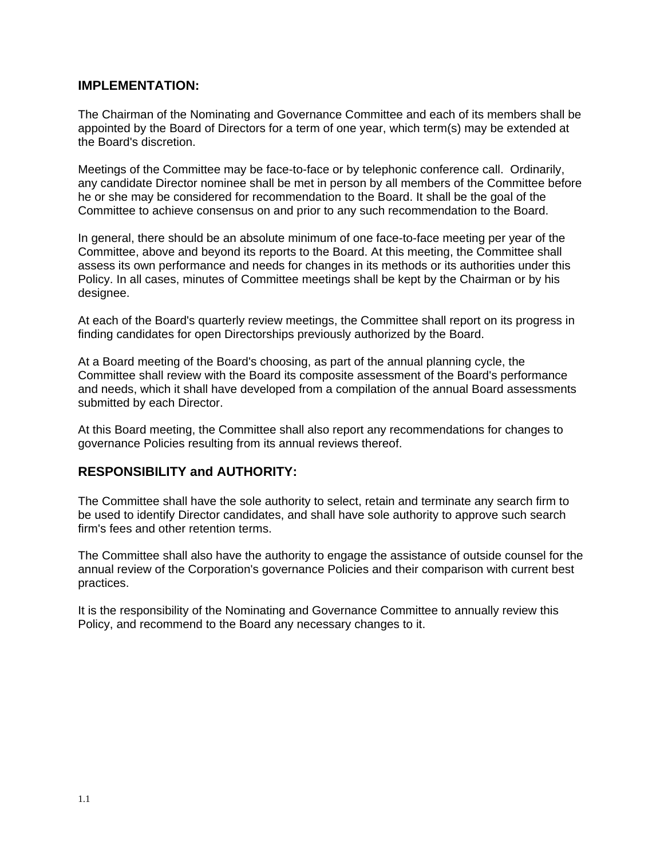#### **IMPLEMENTATION:**

The Chairman of the Nominating and Governance Committee and each of its members shall be appointed by the Board of Directors for a term of one year, which term(s) may be extended at the Board's discretion.

Meetings of the Committee may be face-to-face or by telephonic conference call. Ordinarily, any candidate Director nominee shall be met in person by all members of the Committee before he or she may be considered for recommendation to the Board. It shall be the goal of the Committee to achieve consensus on and prior to any such recommendation to the Board.

In general, there should be an absolute minimum of one face-to-face meeting per year of the Committee, above and beyond its reports to the Board. At this meeting, the Committee shall assess its own performance and needs for changes in its methods or its authorities under this Policy. In all cases, minutes of Committee meetings shall be kept by the Chairman or by his designee.

At each of the Board's quarterly review meetings, the Committee shall report on its progress in finding candidates for open Directorships previously authorized by the Board.

At a Board meeting of the Board's choosing, as part of the annual planning cycle, the Committee shall review with the Board its composite assessment of the Board's performance and needs, which it shall have developed from a compilation of the annual Board assessments submitted by each Director.

At this Board meeting, the Committee shall also report any recommendations for changes to governance Policies resulting from its annual reviews thereof.

#### **RESPONSIBILITY and AUTHORITY:**

The Committee shall have the sole authority to select, retain and terminate any search firm to be used to identify Director candidates, and shall have sole authority to approve such search firm's fees and other retention terms.

The Committee shall also have the authority to engage the assistance of outside counsel for the annual review of the Corporation's governance Policies and their comparison with current best practices.

It is the responsibility of the Nominating and Governance Committee to annually review this Policy, and recommend to the Board any necessary changes to it.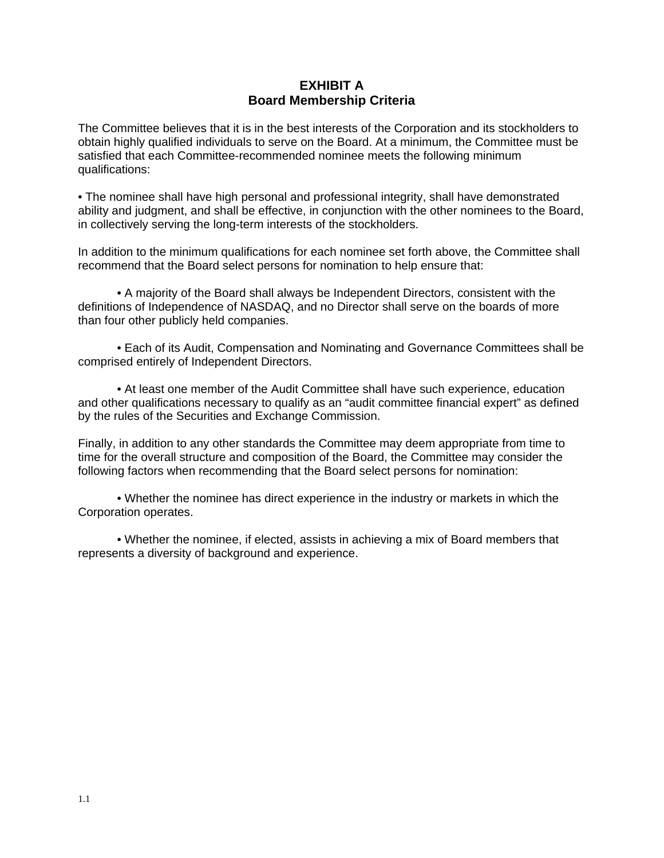#### **EXHIBIT A Board Membership Criteria**

The Committee believes that it is in the best interests of the Corporation and its stockholders to obtain highly qualified individuals to serve on the Board. At a minimum, the Committee must be satisfied that each Committee-recommended nominee meets the following minimum qualifications:

• The nominee shall have high personal and professional integrity, shall have demonstrated ability and judgment, and shall be effective, in conjunction with the other nominees to the Board, in collectively serving the long-term interests of the stockholders.

In addition to the minimum qualifications for each nominee set forth above, the Committee shall recommend that the Board select persons for nomination to help ensure that:

• A majority of the Board shall always be Independent Directors, consistent with the definitions of Independence of NASDAQ, and no Director shall serve on the boards of more than four other publicly held companies.

• Each of its Audit, Compensation and Nominating and Governance Committees shall be comprised entirely of Independent Directors.

• At least one member of the Audit Committee shall have such experience, education and other qualifications necessary to qualify as an "audit committee financial expert" as defined by the rules of the Securities and Exchange Commission.

Finally, in addition to any other standards the Committee may deem appropriate from time to time for the overall structure and composition of the Board, the Committee may consider the following factors when recommending that the Board select persons for nomination:

• Whether the nominee has direct experience in the industry or markets in which the Corporation operates.

• Whether the nominee, if elected, assists in achieving a mix of Board members that represents a diversity of background and experience.